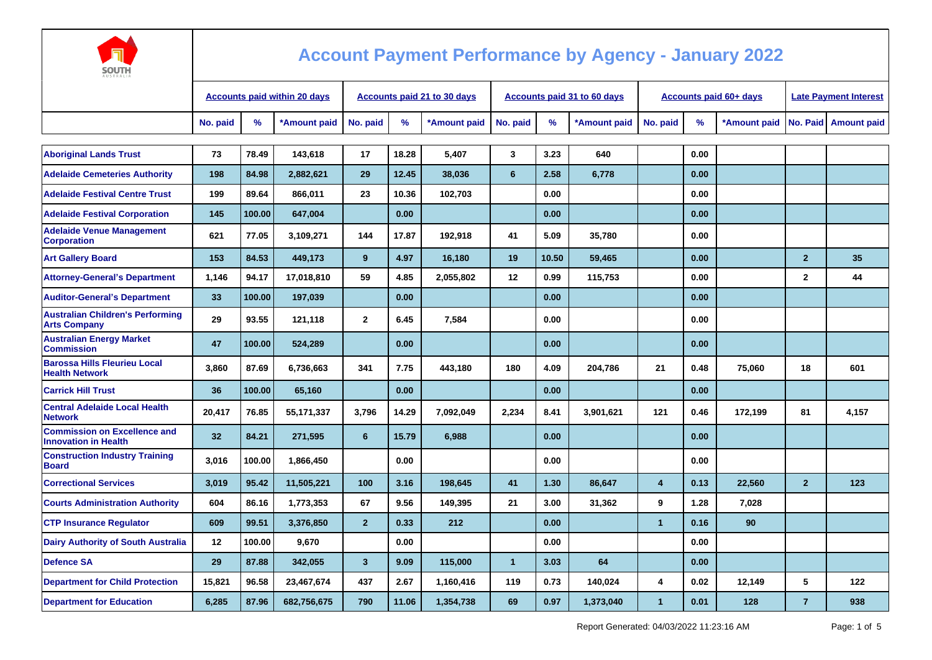

| <b>AUSTRALIA</b>                                                   |                                     |        |              |                             |       |              |                |       |                             |                         |                               |                              |                |                    |
|--------------------------------------------------------------------|-------------------------------------|--------|--------------|-----------------------------|-------|--------------|----------------|-------|-----------------------------|-------------------------|-------------------------------|------------------------------|----------------|--------------------|
|                                                                    | <b>Accounts paid within 20 days</b> |        |              | Accounts paid 21 to 30 days |       |              |                |       | Accounts paid 31 to 60 days |                         | <b>Accounts paid 60+ days</b> | <b>Late Payment Interest</b> |                |                    |
|                                                                    | No. paid                            | %      | *Amount paid | No. paid                    | %     | *Amount paid | No. paid       | %     | *Amount paid                | No. paid                | %                             | *Amount paid                 | No. Paid       | <b>Amount paid</b> |
|                                                                    |                                     |        |              |                             |       |              |                |       |                             |                         |                               |                              |                |                    |
| <b>Aboriginal Lands Trust</b>                                      | 73                                  | 78.49  | 143,618      | 17                          | 18.28 | 5,407        | 3              | 3.23  | 640                         |                         | 0.00                          |                              |                |                    |
| <b>Adelaide Cemeteries Authority</b>                               | 198                                 | 84.98  | 2,882,621    | 29                          | 12.45 | 38.036       | 6              | 2.58  | 6,778                       |                         | 0.00                          |                              |                |                    |
| <b>Adelaide Festival Centre Trust</b>                              | 199                                 | 89.64  | 866,011      | 23                          | 10.36 | 102,703      |                | 0.00  |                             |                         | 0.00                          |                              |                |                    |
| <b>Adelaide Festival Corporation</b>                               | 145                                 | 100.00 | 647,004      |                             | 0.00  |              |                | 0.00  |                             |                         | 0.00                          |                              |                |                    |
| <b>Adelaide Venue Management</b><br><b>Corporation</b>             | 621                                 | 77.05  | 3,109,271    | 144                         | 17.87 | 192,918      | 41             | 5.09  | 35,780                      |                         | 0.00                          |                              |                |                    |
| <b>Art Gallery Board</b>                                           | 153                                 | 84.53  | 449,173      | 9                           | 4.97  | 16,180       | 19             | 10.50 | 59,465                      |                         | 0.00                          |                              | $\overline{2}$ | 35                 |
| <b>Attorney-General's Department</b>                               | 1,146                               | 94.17  | 17,018,810   | 59                          | 4.85  | 2,055,802    | 12             | 0.99  | 115,753                     |                         | 0.00                          |                              | $\mathbf 2$    | 44                 |
| <b>Auditor-General's Department</b>                                | 33                                  | 100.00 | 197,039      |                             | 0.00  |              |                | 0.00  |                             |                         | 0.00                          |                              |                |                    |
| <b>Australian Children's Performing</b><br><b>Arts Company</b>     | 29                                  | 93.55  | 121,118      | $\overline{2}$              | 6.45  | 7,584        |                | 0.00  |                             |                         | 0.00                          |                              |                |                    |
| <b>Australian Energy Market</b><br><b>Commission</b>               | 47                                  | 100.00 | 524,289      |                             | 0.00  |              |                | 0.00  |                             |                         | 0.00                          |                              |                |                    |
| <b>Barossa Hills Fleurieu Local</b><br><b>Health Network</b>       | 3.860                               | 87.69  | 6,736,663    | 341                         | 7.75  | 443.180      | 180            | 4.09  | 204,786                     | 21                      | 0.48                          | 75,060                       | 18             | 601                |
| <b>Carrick Hill Trust</b>                                          | 36                                  | 100.00 | 65,160       |                             | 0.00  |              |                | 0.00  |                             |                         | 0.00                          |                              |                |                    |
| <b>Central Adelaide Local Health</b><br><b>Network</b>             | 20,417                              | 76.85  | 55,171,337   | 3,796                       | 14.29 | 7,092,049    | 2,234          | 8.41  | 3,901,621                   | 121                     | 0.46                          | 172,199                      | 81             | 4,157              |
| <b>Commission on Excellence and</b><br><b>Innovation in Health</b> | 32 <sub>2</sub>                     | 84.21  | 271,595      | 6                           | 15.79 | 6,988        |                | 0.00  |                             |                         | 0.00                          |                              |                |                    |
| <b>Construction Industry Training</b><br><b>Board</b>              | 3,016                               | 100.00 | 1,866,450    |                             | 0.00  |              |                | 0.00  |                             |                         | 0.00                          |                              |                |                    |
| <b>Correctional Services</b>                                       | 3,019                               | 95.42  | 11,505,221   | 100                         | 3.16  | 198,645      | 41             | 1.30  | 86,647                      | $\overline{\mathbf{4}}$ | 0.13                          | 22,560                       | $\overline{2}$ | 123                |
| <b>Courts Administration Authority</b>                             | 604                                 | 86.16  | 1,773,353    | 67                          | 9.56  | 149,395      | 21             | 3.00  | 31,362                      | 9                       | 1.28                          | 7,028                        |                |                    |
| <b>CTP Insurance Requlator</b>                                     | 609                                 | 99.51  | 3,376,850    | 2 <sup>2</sup>              | 0.33  | 212          |                | 0.00  |                             | $\overline{1}$          | 0.16                          | 90                           |                |                    |
| <b>Dairy Authority of South Australia</b>                          | $12 \overline{ }$                   | 100.00 | 9,670        |                             | 0.00  |              |                | 0.00  |                             |                         | 0.00                          |                              |                |                    |
| <b>Defence SA</b>                                                  | 29                                  | 87.88  | 342,055      | $\mathbf{3}$                | 9.09  | 115,000      | $\overline{1}$ | 3.03  | 64                          |                         | 0.00                          |                              |                |                    |
| <b>Department for Child Protection</b>                             | 15,821                              | 96.58  | 23,467,674   | 437                         | 2.67  | 1,160,416    | 119            | 0.73  | 140,024                     | 4                       | 0.02                          | 12,149                       | 5              | 122                |
| <b>Department for Education</b>                                    | 6,285                               | 87.96  | 682,756,675  | 790                         | 11.06 | 1,354,738    | 69             | 0.97  | 1,373,040                   | 1                       | 0.01                          | 128                          | $\overline{7}$ | 938                |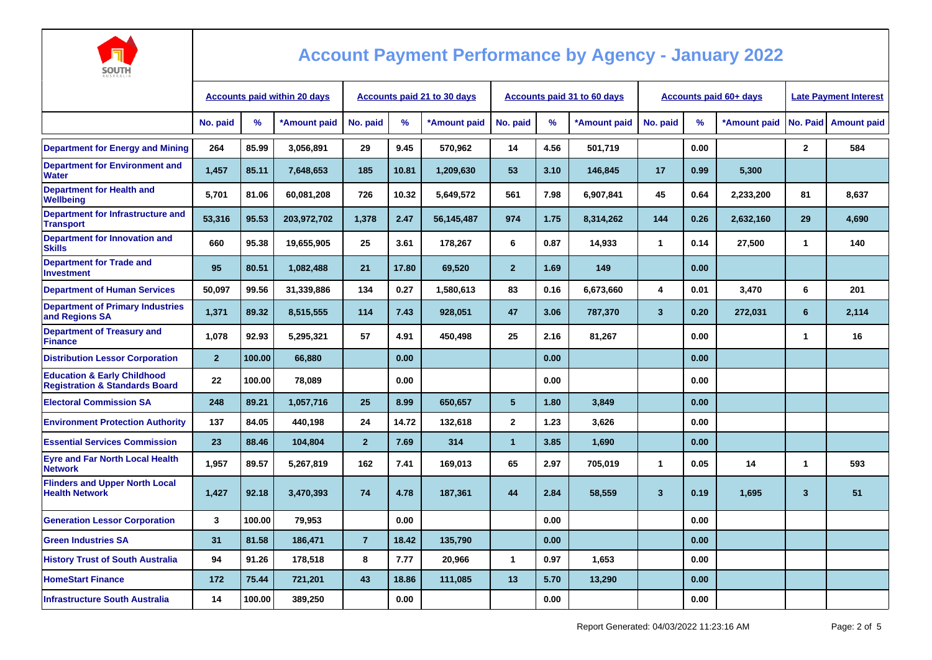

| $A U J I R A L I J$                                                                 | <b>Accounts paid within 20 days</b> |        |              | Accounts paid 21 to 30 days |       |              |                |      | Accounts paid 31 to 60 days |                         | <b>Accounts paid 60+ days</b> | <b>Late Payment Interest</b> |                |                    |
|-------------------------------------------------------------------------------------|-------------------------------------|--------|--------------|-----------------------------|-------|--------------|----------------|------|-----------------------------|-------------------------|-------------------------------|------------------------------|----------------|--------------------|
|                                                                                     | No. paid                            | %      | *Amount paid | No. paid                    | %     | *Amount paid | No. paid       | $\%$ | *Amount paid                | No. paid                | %                             | *Amount paid                 | No. Paid       | <b>Amount paid</b> |
| <b>Department for Energy and Mining</b>                                             | 264                                 | 85.99  | 3,056,891    | 29                          | 9.45  | 570,962      | 14             | 4.56 | 501,719                     |                         | 0.00                          |                              | $\mathbf{2}$   | 584                |
| <b>Department for Environment and</b><br><b>Water</b>                               | 1,457                               | 85.11  | 7,648,653    | 185                         | 10.81 | 1,209,630    | 53             | 3.10 | 146,845                     | 17                      | 0.99                          | 5,300                        |                |                    |
| <b>Department for Health and</b><br>Wellbeing                                       | 5,701                               | 81.06  | 60,081,208   | 726                         | 10.32 | 5,649,572    | 561            | 7.98 | 6,907,841                   | 45                      | 0.64                          | 2,233,200                    | 81             | 8,637              |
| Department for Infrastructure and<br><b>Transport</b>                               | 53.316                              | 95.53  | 203,972,702  | 1,378                       | 2.47  | 56,145,487   | 974            | 1.75 | 8,314,262                   | 144                     | 0.26                          | 2,632,160                    | 29             | 4,690              |
| <b>Department for Innovation and</b><br><b>Skills</b>                               | 660                                 | 95.38  | 19.655.905   | 25                          | 3.61  | 178,267      | 6              | 0.87 | 14,933                      | 1                       | 0.14                          | 27,500                       | 1              | 140                |
| <b>Department for Trade and</b><br><b>Investment</b>                                | 95                                  | 80.51  | 1,082,488    | 21                          | 17.80 | 69,520       | $\overline{2}$ | 1.69 | 149                         |                         | 0.00                          |                              |                |                    |
| <b>Department of Human Services</b>                                                 | 50,097                              | 99.56  | 31,339,886   | 134                         | 0.27  | 1,580,613    | 83             | 0.16 | 6,673,660                   | 4                       | 0.01                          | 3,470                        | 6              | 201                |
| <b>Department of Primary Industries</b><br>and Regions SA                           | 1,371                               | 89.32  | 8,515,555    | 114                         | 7.43  | 928,051      | 47             | 3.06 | 787,370                     | $\mathbf{3}$            | 0.20                          | 272,031                      | $6\phantom{1}$ | 2,114              |
| <b>Department of Treasury and</b><br><b>Finance</b>                                 | 1.078                               | 92.93  | 5,295,321    | 57                          | 4.91  | 450,498      | 25             | 2.16 | 81,267                      |                         | 0.00                          |                              | 1              | 16                 |
| <b>Distribution Lessor Corporation</b>                                              | $\overline{2}$                      | 100.00 | 66.880       |                             | 0.00  |              |                | 0.00 |                             |                         | 0.00                          |                              |                |                    |
| <b>Education &amp; Early Childhood</b><br><b>Registration &amp; Standards Board</b> | 22                                  | 100.00 | 78,089       |                             | 0.00  |              |                | 0.00 |                             |                         | 0.00                          |                              |                |                    |
| <b>Electoral Commission SA</b>                                                      | 248                                 | 89.21  | 1,057,716    | 25                          | 8.99  | 650.657      | 5 <sup>5</sup> | 1.80 | 3.849                       |                         | 0.00                          |                              |                |                    |
| <b>Environment Protection Authority</b>                                             | 137                                 | 84.05  | 440.198      | 24                          | 14.72 | 132.618      | $\overline{2}$ | 1.23 | 3.626                       |                         | 0.00                          |                              |                |                    |
| <b>Essential Services Commission</b>                                                | 23                                  | 88.46  | 104,804      | $\overline{2}$              | 7.69  | 314          | 1              | 3.85 | 1,690                       |                         | 0.00                          |                              |                |                    |
| <b>Eyre and Far North Local Health</b><br><b>Network</b>                            | 1,957                               | 89.57  | 5,267,819    | 162                         | 7.41  | 169,013      | 65             | 2.97 | 705,019                     | 1                       | 0.05                          | 14                           | 1              | 593                |
| <b>Flinders and Upper North Local</b><br><b>Health Network</b>                      | 1,427                               | 92.18  | 3,470,393    | 74                          | 4.78  | 187,361      | 44             | 2.84 | 58,559                      | $\overline{\mathbf{3}}$ | 0.19                          | 1,695                        | 3              | 51                 |
| <b>Generation Lessor Corporation</b>                                                | $\mathbf{3}$                        | 100.00 | 79,953       |                             | 0.00  |              |                | 0.00 |                             |                         | 0.00                          |                              |                |                    |
| <b>Green Industries SA</b>                                                          | 31                                  | 81.58  | 186,471      | $\overline{7}$              | 18.42 | 135,790      |                | 0.00 |                             |                         | 0.00                          |                              |                |                    |
| <b>History Trust of South Australia</b>                                             | 94                                  | 91.26  | 178,518      | 8                           | 7.77  | 20,966       | 1              | 0.97 | 1,653                       |                         | 0.00                          |                              |                |                    |
| <b>HomeStart Finance</b>                                                            | 172                                 | 75.44  | 721,201      | 43                          | 18.86 | 111,085      | 13             | 5.70 | 13,290                      |                         | 0.00                          |                              |                |                    |
| <b>Infrastructure South Australia</b>                                               | 14                                  | 100.00 | 389,250      |                             | 0.00  |              |                | 0.00 |                             |                         | 0.00                          |                              |                |                    |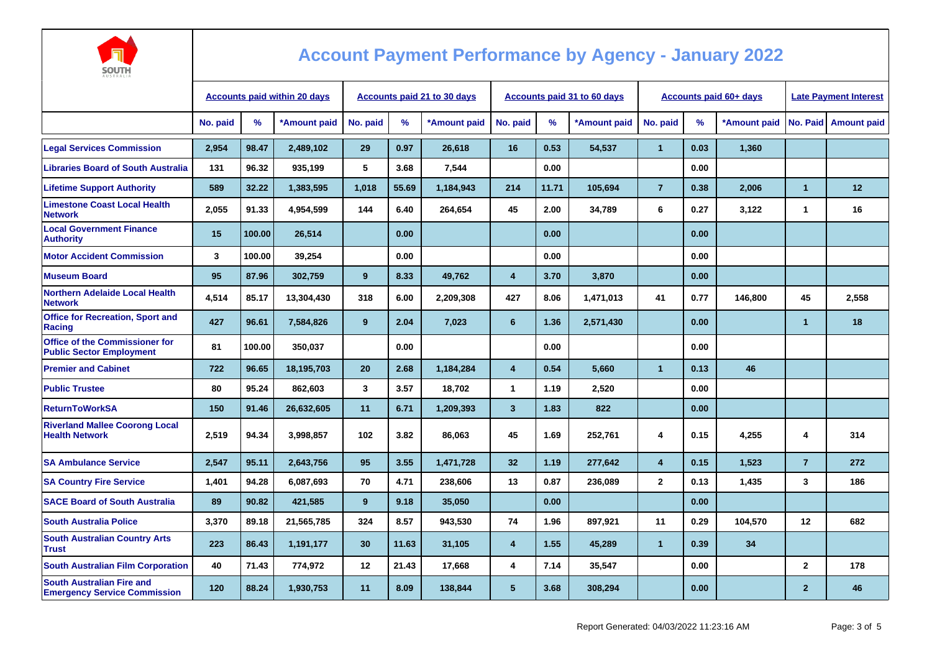

| AUSTRALIA                                                                |                                     |        |                                    |          |       |              |                         |                                    |              |                |                               |                              |                      |                        |
|--------------------------------------------------------------------------|-------------------------------------|--------|------------------------------------|----------|-------|--------------|-------------------------|------------------------------------|--------------|----------------|-------------------------------|------------------------------|----------------------|------------------------|
|                                                                          | <b>Accounts paid within 20 days</b> |        | <b>Accounts paid 21 to 30 days</b> |          |       |              |                         | <b>Accounts paid 31 to 60 days</b> |              |                | <b>Accounts paid 60+ days</b> | <b>Late Payment Interest</b> |                      |                        |
|                                                                          | No. paid                            | %      | *Amount paid                       | No. paid | %     | *Amount paid | No. paid                | $\%$                               | *Amount paid | No. paid       | $\%$                          | *Amount paid                 |                      | No. Paid   Amount paid |
| <b>Legal Services Commission</b>                                         | 2,954                               | 98.47  | 2,489,102                          | 29       | 0.97  | 26,618       | 16                      | 0.53                               | 54,537       | $\mathbf{1}$   | 0.03                          | 1,360                        |                      |                        |
| <b>Libraries Board of South Australia</b>                                | 131                                 | 96.32  | 935,199                            | 5        | 3.68  | 7,544        |                         | 0.00                               |              |                | 0.00                          |                              |                      |                        |
| <b>Lifetime Support Authority</b>                                        | 589                                 | 32.22  | 1,383,595                          | 1,018    | 55.69 | 1,184,943    | 214                     | 11.71                              | 105,694      | $\overline{7}$ | 0.38                          | 2,006                        | $\overline{1}$       | 12                     |
| <b>Limestone Coast Local Health</b><br><b>Network</b>                    | 2,055                               | 91.33  | 4,954,599                          | 144      | 6.40  | 264,654      | 45                      | 2.00                               | 34,789       | 6              | 0.27                          | 3,122                        | $\mathbf{1}$         | 16                     |
| <b>Local Government Finance</b><br><b>Authority</b>                      | 15                                  | 100.00 | 26,514                             |          | 0.00  |              |                         | 0.00                               |              |                | 0.00                          |                              |                      |                        |
| <b>Motor Accident Commission</b>                                         | $\mathbf{3}$                        | 100.00 | 39,254                             |          | 0.00  |              |                         | 0.00                               |              |                | 0.00                          |                              |                      |                        |
| <b>Museum Board</b>                                                      | 95                                  | 87.96  | 302,759                            | 9        | 8.33  | 49,762       | 4                       | 3.70                               | 3,870        |                | 0.00                          |                              |                      |                        |
| <b>Northern Adelaide Local Health</b><br><b>Network</b>                  | 4,514                               | 85.17  | 13,304,430                         | 318      | 6.00  | 2,209,308    | 427                     | 8.06                               | 1,471,013    | 41             | 0.77                          | 146,800                      | 45                   | 2,558                  |
| <b>Office for Recreation, Sport and</b><br>Racing                        | 427                                 | 96.61  | 7,584,826                          | 9        | 2.04  | 7,023        | 6                       | 1.36                               | 2,571,430    |                | 0.00                          |                              | $\blacktriangleleft$ | 18                     |
| <b>Office of the Commissioner for</b><br><b>Public Sector Employment</b> | 81                                  | 100.00 | 350.037                            |          | 0.00  |              |                         | 0.00                               |              |                | 0.00                          |                              |                      |                        |
| <b>Premier and Cabinet</b>                                               | 722                                 | 96.65  | 18,195,703                         | 20       | 2.68  | 1,184,284    | $\overline{\mathbf{4}}$ | 0.54                               | 5,660        | $\mathbf{1}$   | 0.13                          | 46                           |                      |                        |
| <b>Public Trustee</b>                                                    | 80                                  | 95.24  | 862,603                            | 3        | 3.57  | 18,702       | $\mathbf{1}$            | 1.19                               | 2,520        |                | 0.00                          |                              |                      |                        |
| <b>ReturnToWorkSA</b>                                                    | 150                                 | 91.46  | 26,632,605                         | 11       | 6.71  | 1,209,393    | $\mathbf{3}$            | 1.83                               | 822          |                | 0.00                          |                              |                      |                        |
| <b>Riverland Mallee Coorong Local</b><br><b>Health Network</b>           | 2,519                               | 94.34  | 3,998,857                          | 102      | 3.82  | 86,063       | 45                      | 1.69                               | 252,761      | 4              | 0.15                          | 4,255                        | 4                    | 314                    |
| <b>SA Ambulance Service</b>                                              | 2.547                               | 95.11  | 2,643,756                          | 95       | 3.55  | 1,471,728    | 32                      | 1.19                               | 277,642      | $\overline{4}$ | 0.15                          | 1,523                        | $\overline{7}$       | 272                    |
| <b>SA Country Fire Service</b>                                           | 1.401                               | 94.28  | 6,087,693                          | 70       | 4.71  | 238.606      | 13                      | 0.87                               | 236,089      | $\overline{2}$ | 0.13                          | 1,435                        | 3                    | 186                    |
| <b>SACE Board of South Australia</b>                                     | 89                                  | 90.82  | 421,585                            | 9        | 9.18  | 35,050       |                         | 0.00                               |              |                | 0.00                          |                              |                      |                        |
| <b>South Australia Police</b>                                            | 3,370                               | 89.18  | 21,565,785                         | 324      | 8.57  | 943,530      | 74                      | 1.96                               | 897,921      | 11             | 0.29                          | 104,570                      | 12                   | 682                    |
| <b>South Australian Country Arts</b><br><b>Trust</b>                     | 223                                 | 86.43  | 1,191,177                          | 30       | 11.63 | 31,105       | $\overline{4}$          | 1.55                               | 45,289       | $\mathbf{1}$   | 0.39                          | 34                           |                      |                        |
| <b>South Australian Film Corporation</b>                                 | 40                                  | 71.43  | 774,972                            | 12       | 21.43 | 17,668       | 4                       | 7.14                               | 35,547       |                | 0.00                          |                              | $\mathbf{2}$         | 178                    |
| <b>South Australian Fire and</b><br><b>Emergency Service Commission</b>  | 120                                 | 88.24  | 1,930,753                          | 11       | 8.09  | 138,844      | 5                       | 3.68                               | 308,294      |                | 0.00                          |                              | $\overline{2}$       | 46                     |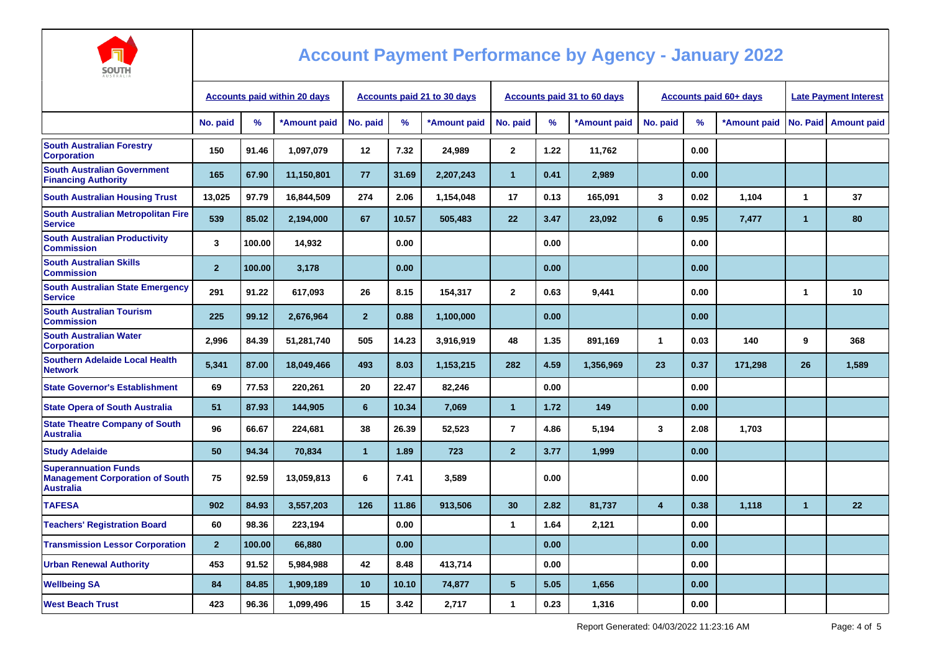

| AUSTRALIA                                                                                 |                                     |        |                                    |                |       |                                    |                 |      |                               |              |      |                              |                      |                      |
|-------------------------------------------------------------------------------------------|-------------------------------------|--------|------------------------------------|----------------|-------|------------------------------------|-----------------|------|-------------------------------|--------------|------|------------------------------|----------------------|----------------------|
|                                                                                           | <b>Accounts paid within 20 days</b> |        | <b>Accounts paid 21 to 30 days</b> |                |       | <b>Accounts paid 31 to 60 days</b> |                 |      | <b>Accounts paid 60+ days</b> |              |      | <b>Late Payment Interest</b> |                      |                      |
|                                                                                           | No. paid                            | $\%$   | *Amount paid                       | No. paid       | %     | *Amount paid                       | No. paid        | %    | *Amount paid                  | No. paid     | %    | *Amount paid                 |                      | No. Paid Amount paid |
| <b>South Australian Forestry</b><br><b>Corporation</b>                                    | 150                                 | 91.46  | 1,097,079                          | 12             | 7.32  | 24,989                             | $\mathbf{2}$    | 1.22 | 11,762                        |              | 0.00 |                              |                      |                      |
| <b>South Australian Government</b><br><b>Financing Authority</b>                          | 165                                 | 67.90  | 11,150,801                         | 77             | 31.69 | 2,207,243                          | $\mathbf{1}$    | 0.41 | 2,989                         |              | 0.00 |                              |                      |                      |
| <b>South Australian Housing Trust</b>                                                     | 13,025                              | 97.79  | 16,844,509                         | 274            | 2.06  | 1,154,048                          | 17              | 0.13 | 165,091                       | 3            | 0.02 | 1.104                        | $\mathbf{1}$         | 37                   |
| <b>South Australian Metropolitan Fire</b><br><b>Service</b>                               | 539                                 | 85.02  | 2,194,000                          | 67             | 10.57 | 505,483                            | 22              | 3.47 | 23,092                        | 6            | 0.95 | 7,477                        | $\overline{1}$       | 80                   |
| <b>South Australian Productivity</b><br><b>Commission</b>                                 | 3                                   | 100.00 | 14,932                             |                | 0.00  |                                    |                 | 0.00 |                               |              | 0.00 |                              |                      |                      |
| <b>South Australian Skills</b><br><b>Commission</b>                                       | $\mathbf{2}$                        | 100.00 | 3,178                              |                | 0.00  |                                    |                 | 0.00 |                               |              | 0.00 |                              |                      |                      |
| <b>South Australian State Emergency</b><br><b>Service</b>                                 | 291                                 | 91.22  | 617,093                            | 26             | 8.15  | 154,317                            | $\mathbf{2}$    | 0.63 | 9,441                         |              | 0.00 |                              | $\blacktriangleleft$ | 10                   |
| <b>South Australian Tourism</b><br><b>Commission</b>                                      | 225                                 | 99.12  | 2,676,964                          | $\overline{2}$ | 0.88  | 1,100,000                          |                 | 0.00 |                               |              | 0.00 |                              |                      |                      |
| <b>South Australian Water</b><br><b>Corporation</b>                                       | 2,996                               | 84.39  | 51,281,740                         | 505            | 14.23 | 3,916,919                          | 48              | 1.35 | 891,169                       | $\mathbf{1}$ | 0.03 | 140                          | 9                    | 368                  |
| <b>Southern Adelaide Local Health</b><br><b>Network</b>                                   | 5,341                               | 87.00  | 18,049,466                         | 493            | 8.03  | 1,153,215                          | 282             | 4.59 | 1,356,969                     | 23           | 0.37 | 171,298                      | 26                   | 1,589                |
| <b>State Governor's Establishment</b>                                                     | 69                                  | 77.53  | 220.261                            | 20             | 22.47 | 82,246                             |                 | 0.00 |                               |              | 0.00 |                              |                      |                      |
| <b>State Opera of South Australia</b>                                                     | 51                                  | 87.93  | 144,905                            | 6              | 10.34 | 7,069                              | $\mathbf{1}$    | 1.72 | 149                           |              | 0.00 |                              |                      |                      |
| <b>State Theatre Company of South</b><br><b>Australia</b>                                 | 96                                  | 66.67  | 224,681                            | 38             | 26.39 | 52,523                             | $\overline{7}$  | 4.86 | 5,194                         | 3            | 2.08 | 1,703                        |                      |                      |
| <b>Study Adelaide</b>                                                                     | 50                                  | 94.34  | 70,834                             | $\mathbf{1}$   | 1.89  | 723                                | $\overline{2}$  | 3.77 | 1,999                         |              | 0.00 |                              |                      |                      |
| <b>Superannuation Funds</b><br><b>Management Corporation of South</b><br><b>Australia</b> | 75                                  | 92.59  | 13,059,813                         | 6              | 7.41  | 3,589                              |                 | 0.00 |                               |              | 0.00 |                              |                      |                      |
| <b>TAFESA</b>                                                                             | 902                                 | 84.93  | 3,557,203                          | 126            | 11.86 | 913,506                            | 30              | 2.82 | 81,737                        | 4            | 0.38 | 1,118                        | $\blacktriangleleft$ | 22                   |
| <b>Teachers' Registration Board</b>                                                       | 60                                  | 98.36  | 223,194                            |                | 0.00  |                                    | $\mathbf{1}$    | 1.64 | 2,121                         |              | 0.00 |                              |                      |                      |
| <b>Transmission Lessor Corporation</b>                                                    | $\mathbf{2}$                        | 100.00 | 66,880                             |                | 0.00  |                                    |                 | 0.00 |                               |              | 0.00 |                              |                      |                      |
| <b>Urban Renewal Authority</b>                                                            | 453                                 | 91.52  | 5,984,988                          | 42             | 8.48  | 413,714                            |                 | 0.00 |                               |              | 0.00 |                              |                      |                      |
| <b>Wellbeing SA</b>                                                                       | 84                                  | 84.85  | 1,909,189                          | 10             | 10.10 | 74,877                             | $5\phantom{.0}$ | 5.05 | 1,656                         |              | 0.00 |                              |                      |                      |
| <b>West Beach Trust</b>                                                                   | 423                                 | 96.36  | 1,099,496                          | 15             | 3.42  | 2,717                              | $\mathbf{1}$    | 0.23 | 1,316                         |              | 0.00 |                              |                      |                      |